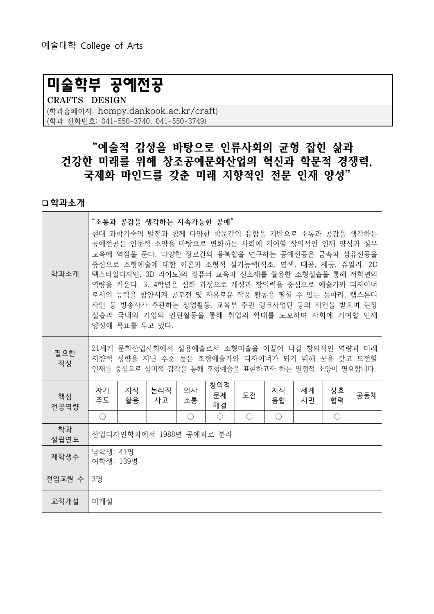# 미술학부 공예전공

CRAFTS DESIGN

(학과홈페이지: hompy.dankook.ac.kr/craft) (학과 전화번호: 041-550-3740, 041-550-3749)

## "예술적 감성을 바탕으로 인류사회의 균형 잡힌 삶과 건강한 미래를 위해 창조공예문화산업의 혁신과 학문적 경쟁력, 국제화 마인드를 갖춘 미래 지향적인 전문 인재 양성"

학과소개

| 학과소개       | "소통과 공감을 생각하는 지속가능한 공예"<br>현대 과학기술의 발전과 함께 다양한 학문간의 융합을 기반으로 소통과 공감을 생각하는<br>공예전공은 인문적 소양을 바탕으로 변화하는 사회에 기여할 창의적인 인재 양성과 실무<br>교육에 역점을 둔다. 다양한 장르간의 융복합을 연구하는 공예전공은 금속과 섬유전공을<br>중심으로 조형예술에 대한 이론과 조형적 실기능력(직조, 염색, 대공, 세공, 쥬얼리, 2D<br>텍스타일디자인, 3D 라이노)의 컴퓨터 교육과 신소재를 활용한 조형실습을 통해 저학년의<br>역량을 키운다. 3, 4학년은 심화 과정으로 개성과 창의력을 중심으로 예술가와 디자이너<br>로서의 능력을 함양시켜 공모전 및 자유로운 작품 활동을 펼칠 수 있는 동아리, 캡스톤디<br>자인 등 방송사가 주관하는 창업활동, 교육부 주관 링크사업단 등의 지원을 받으며 현장<br>실습과 국내외 기업의 인턴활동을 통해 취업의 확대를 도모하며 사회에 기여할 인재<br>양성에 목표를 두고 있다. |          |           |          |                 |                                             |            |          |          |     |
|------------|----------------------------------------------------------------------------------------------------------------------------------------------------------------------------------------------------------------------------------------------------------------------------------------------------------------------------------------------------------------------------------------------------------------------------------------------------------------------------------------------------------------------|----------|-----------|----------|-----------------|---------------------------------------------|------------|----------|----------|-----|
| 필요한<br>적성  | 21세기 문화산업사회에서 실용예술로서 조형미술을 이끌어 나갈 창의적인 역량과 미래<br>지향적 성향을 지닌 수준 높은 조형예술가와 디자이너가 되기 위해 꿈을 갖고 도전할<br>인재를 중심으로 심미적 감각을 통해 조형예술을 표현하고자 하는 열정적 소양이 필요합니다.                                                                                                                                                                                                                                                                                                                                                                  |          |           |          |                 |                                             |            |          |          |     |
| 핵심<br>전공역량 | 자기<br>주도                                                                                                                                                                                                                                                                                                                                                                                                                                                                                                             | 지식<br>활용 | 논리적<br>사고 | 의사<br>소통 | 창의적<br>문제<br>해결 | 도전                                          | 지식<br>융합   | 세계<br>시민 | 상호<br>협력 | 공동체 |
|            | $\bigcirc$                                                                                                                                                                                                                                                                                                                                                                                                                                                                                                           |          |           | ( )      | $\bigcirc$      | $\left(\begin{array}{c} \end{array}\right)$ | $\bigcirc$ |          | O        |     |
| 학과<br>설립연도 | 산업디자인학과에서 1988년 공예과로 분리                                                                                                                                                                                                                                                                                                                                                                                                                                                                                              |          |           |          |                 |                                             |            |          |          |     |
| 재학생수       | 남학생: 41명<br>여학생: 139명                                                                                                                                                                                                                                                                                                                                                                                                                                                                                                |          |           |          |                 |                                             |            |          |          |     |
| 전임교원 수     | 3명                                                                                                                                                                                                                                                                                                                                                                                                                                                                                                                   |          |           |          |                 |                                             |            |          |          |     |
| 교직개설       | 미개설                                                                                                                                                                                                                                                                                                                                                                                                                                                                                                                  |          |           |          |                 |                                             |            |          |          |     |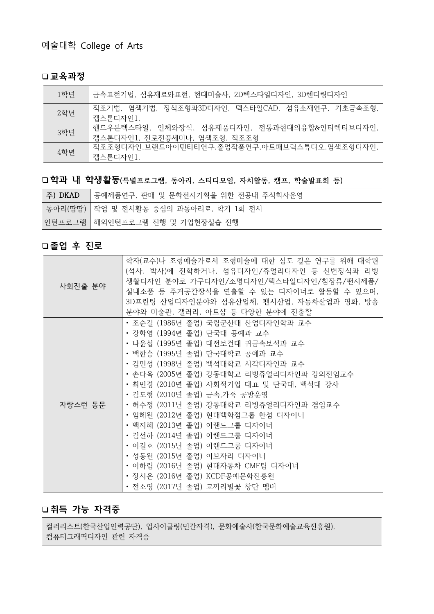#### 교육과정

| 1학년 | - 금속표현기법, 섬유재료와표현, 현대미술사, 2D텍스타일디자인, 3D렌더링디자인                                |
|-----|------------------------------------------------------------------------------|
| 2학년 | 직조기법, 염색기법, 장식조형과3D디자인, 텍스타일CAD, 섬유소재연구, 기초금속조형,<br>캡스톤디자인1.                 |
| 3학년 | 핸드우븐텍스타일, 인체와장식, 섬유제품디자인, 전통과현대의융합&인터렉티브디자인,<br>캡스톤디자인1, 진로전공세미나, 염색조형, 직조조형 |
| 4학년 | 직조조형디자인,브랜드아이덴티티연구,졸업작품연구,아트패브릭스튜디오,염색조형디자인,<br>캡스톤디자인1.                     |

### □학과 내 학생활동(특별프로그램, 동아리, 스터디모임, 자치활동, 캠프, 학술발표회 등)

| 주) DKAD | 공예제품연구, 판매 및 문화전시기획을 위한 전공내 주식회사운영      |
|---------|-----------------------------------------|
|         | 동아리(땀땀)   작업 및 전시활동 중심의 과동아리로, 학기 1회 전시 |
|         | 인턴프로그램   해외인턴프로그램 진행 및 기업현장실습 진행        |

### 졸업 후 진로

| 사회진출 분야 | 학자(교수)나 조형예술가로서 조형미술에 대한 심도 깊은 연구를 위해 대학원<br>(석사, 박사)에 진학하거나, 섬유디자인/쥬얼리디자인 등 신변장식과 리빙<br>생활디자인 분야로 가구디자인/조명디자인/텍스타일디자인/침장류/팬시제품/<br>실내소품 등 주거공간장식을 연출할 수 있는 디자이너로 활동할 수 있으며,<br>3D프린팅 산업디자인분야와 섬유산업체, 팬시산업, 자동차산업과 영화, 방송<br>분야와 미술관, 갤러리, 아트샵 등 다양한 분야에 진출할                                                                                                                                                                                                                                                                                                                                               |
|---------|------------------------------------------------------------------------------------------------------------------------------------------------------------------------------------------------------------------------------------------------------------------------------------------------------------------------------------------------------------------------------------------------------------------------------------------------------------------------------------------------------------------------------------------------------------------------------------------------------------|
| 자랑스런 동문 | • 조순길 (1986년 졸업) 국립군산대 산업디자인학과 교수<br>• 강화영 (1994년 졸업) 단국대 공예과 교수<br>• 나윤섭 (1995년 졸업) 대전보건대 귀금속보석과 교수<br>• 백한승 (1995년 졸업) 단국대학교 공예과 교수<br>• 김민성 (1998년 졸업) 백석대학교 시각디자인과 교수<br>• 손다옥 (2005년 졸업) 강동대학교 리빙쥬얼리디자인과 강의전임교수<br>• 최민경 (2010년 졸업) 사회적기업 대표 및 단국대, 백석대 강사<br>• 김도형 (2010년 졸업) 금속,가죽 공방운영<br>• 허수정 (2011년 졸업) 강동대학교 리빙쥬얼리디자인과 겸임교수<br>• 임혜원 (2012년 졸업) 현대백화점그룹 한섬 디자이너<br>• 백지혜 (2013년 졸업) 이랜드그룹 디자이너<br>• 김선하 (2014년 졸업) 이랜드그룹 디자이너<br>• 이길호 (2015년 졸업) 이랜드그룹 디자이너<br>• 성동원 (2015년 졸업) 이브자리 디자이너<br>• 이하림 (2016년 졸업) 현대자동차 CMF팀 디자이너<br>• 장시은 (2016년 졸업) KCDF공예문화진흥원<br>• 전소영 (2017년 졸업) 코끼리별꽃 창단 멤버 |

### 취득 가능 자격증

컬러리스트(한국산업인력공단), 업사이클링(민간자격), 문화예술사(한국문화예술교육진흥원), 컴퓨터그래픽디자인 관련 자격증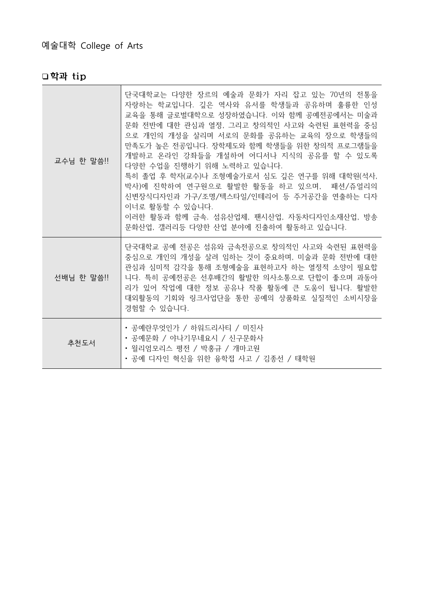| 교수님 한 말씀!! | 단국대학교는 다양한 장르의 예술과 문화가 자리 잡고 있는 70년의 전통을<br>자랑하는 학교입니다. 깊은 역사와 유서를 학생들과 공유하며 훌륭한 인성<br>교육을 통해 글로벌대학으로 성장하였습니다. 이와 함께 공예전공에서는 미술과<br>문화 전반에 대한 관심과 열정, 그리고 창의적인 사고와 숙련된 표현력을 중심<br>으로 개인의 개성을 살리며 서로의 문화를 공유하는 교육의 장으로 학생들의<br>만족도가 높은 전공입니다. 장학제도와 함께 학생들을 위한 창의적 프로그램들을<br>개발하고 온라인 강좌들을 개설하여 어디서나 지식의 공유를 할 수 있도록<br>다양한 수업을 진행하기 위해 노력하고 있습니다.<br>특히 졸업 후 학자(교수)나 조형예술가로서 심도 깊은 연구를 위해 대학원(석사,<br>박사)에 진학하여 연구원으로 활발한 활동을 하고 있으며, 패션/쥬얼리의<br>신변장식디자인과 가구/조명/텍스타일/인테리어 등 주거공간을 연출하는 디자<br>이너로 활동할 수 있습니다.<br>이러한 활동과 함께 금속. 섬유산업체, 팬시산업, 자동차디자인소재산업, 방송<br>문화산업, 갤러리등 다양한 산업 분야에 진출하여 활동하고 있습니다. |
|------------|----------------------------------------------------------------------------------------------------------------------------------------------------------------------------------------------------------------------------------------------------------------------------------------------------------------------------------------------------------------------------------------------------------------------------------------------------------------------------------------------------------------------------------------------------------------------------------------------------|
| 선배님 한 말씀!! | 단국대학교 공예 전공은 섬유와 금속전공으로 창의적인 사고와 숙련된 표현력을<br>중심으로 개인의 개성을 살려 임하는 것이 중요하며, 미술과 문화 전반에 대한<br>관심과 심미적 감각을 통해 조형예술을 표현하고자 하는 열정적 소양이 필요합<br>니다. 특히 공예전공은 선후배간의 활발한 의사소통으로 단합이 좋으며 과동아<br>리가 있어 작업에 대한 정보 공유나 작품 활동에 큰 도움이 됩니다. 활발한<br>대외활동의 기회와 링크사업단을 통한 공예의 상품화로 실질적인 소비시장을<br>경험할 수 있습니다.                                                                                                                                                                                                                                                                                                           |
| 추천도서       | • 공예란무엇인가 / 하워드리사티 / 미진사<br>• 공예문화 / 야나기무네요시 / 신구문화사<br>• 윌리엄모리스 평전 / 박홍규 / 개마고원<br>• 공예 디자인 혁신을 위한 융학접 사고 / 김종선 / 태학원                                                                                                                                                                                                                                                                                                                                                                                                                                                                             |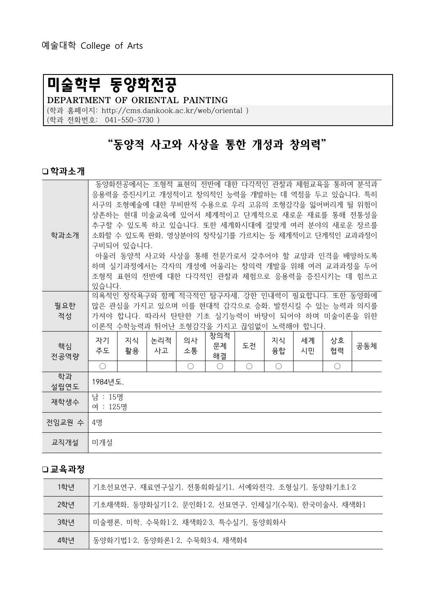# 미술학부 동양화전공

DEPARTMENT OF ORIENTAL PAINTING

(학과 홈페이지: http://cms.dankook.ac.kr/web/oriental )

(학과 전화번호: 041-550-3730 )

# "동양적 사고와 사상을 통한 개성과 창의력"

#### 학과소개

| 학과소개       | 동양화전공에서는 조형적 표현의 전반에 대한 다각적인 관찰과 체험교육을 통하여 분석과<br>응용력을 증진시키고 개성적이고 창의적인 능력을 개발하는 데 역점을 두고 있습니다. 특히<br>서구의 조형예술에 대한 무비판적 수용으로 우리 고유의 조형감각을 잃어버리게 될 위험이<br>상존하는 현대 미술교육에 있어서 체계적이고 단계적으로 새로운 재료를 통해 전통성을<br>추구할 수 있도록 하고 있습니다. 또한 세계화시대에 걸맞게 여러 분야의 새로운 장르를<br>소화할 수 있도록 판화, 영상분야의 창작실기를 가르치는 등 체계적이고 단계적인 교과과정이<br>구비되어 있습니다.<br>아울러 동양적 사고와 사상을 통해 전문가로서 갖추어야 할 교양과 인격을 배양하도록<br>하며 실기과정에서는 각자의 개성에 어울리는 창의력 개발을 위해 여러 교과과정을 두어<br>조형적 표현의 전반에 대한 다각적인 관찰과 체험으로 응용력을 증진시키는 데 힘쓰고<br>있습니다. |          |           |          |                 |    |            |          |          |     |
|------------|-------------------------------------------------------------------------------------------------------------------------------------------------------------------------------------------------------------------------------------------------------------------------------------------------------------------------------------------------------------------------------------------------------------------------------------------------------------------------------------------|----------|-----------|----------|-----------------|----|------------|----------|----------|-----|
| 필요한<br>적성  | 의욕적인 창작욕구와 함께 적극적인 탐구자세, 강한 인내력이 필요합니다. 또한 동양화에<br>많은 관심을 가지고 있으며 이를 현대적 감각으로 승화, 발전시킬 수 있는 능력과 의지를<br>가져야 합니다. 따라서 탄탄한 기초 실기능력이 바탕이 되어야 하며 미술이론을 위한<br>이론적 수학능력과 뛰어난 조형감각을 가지고 끊임없이 노력해야 합니다.                                                                                                                                                                                                                                                                                            |          |           |          |                 |    |            |          |          |     |
| 핵심<br>전공역량 | 자기<br>주도                                                                                                                                                                                                                                                                                                                                                                                                                                                                                  | 지식<br>활용 | 논리적<br>사고 | 의사<br>소통 | 창의적<br>문제<br>해결 | 도전 | 지식<br>융합   | 세계<br>시민 | 상호<br>협력 | 공동체 |
|            | $\bigcirc$                                                                                                                                                                                                                                                                                                                                                                                                                                                                                |          |           | ◯        | $\bigcirc$      | ◯  | $\bigcirc$ |          | ◯        |     |
| 학과<br>설립연도 | 1984년도.                                                                                                                                                                                                                                                                                                                                                                                                                                                                                   |          |           |          |                 |    |            |          |          |     |
| 재학생수       | 남 : 15명<br>여 : 125명                                                                                                                                                                                                                                                                                                                                                                                                                                                                       |          |           |          |                 |    |            |          |          |     |
| 전임교원 수     | 4명                                                                                                                                                                                                                                                                                                                                                                                                                                                                                        |          |           |          |                 |    |            |          |          |     |
| 교직개설       | 미개설                                                                                                                                                                                                                                                                                                                                                                                                                                                                                       |          |           |          |                 |    |            |          |          |     |

| 1학년 | 기초선묘연구, 재료연구실기, 전통회화실기1, 서예와전각, 조형실기, 동양화기초1·2       |
|-----|------------------------------------------------------|
| 2학년 | 기초채색화, 동양화실기1·2, 문인화1·2, 서묘연구, 인체실기(수묵), 한국미술사, 채색화1 |
| 3학년 | 미술평론, 미학, 수묵화1·2, 채색화2·3, 특수실기, 동양회화사                |
| 4학년 | 동양화기법1·2, 동양화론1·2, 수묵화3·4, 채색화4                      |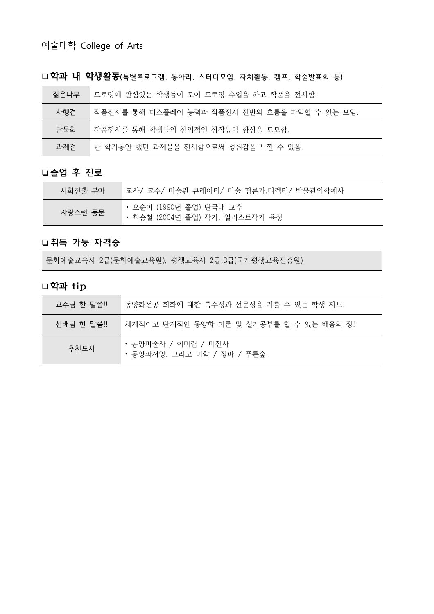| 젊은나무 | 드로잉에 관심있는 학생들이 모여 드로잉 수업을 하고 작품을 전시함.        |
|------|----------------------------------------------|
| 사행견  | 작품전시를 통해 디스플레이 능력과 작품전시 전반의 흐름을 파악할 수 있는 모임. |
| 단묵회  | 작품전시를 통해 학생들의 창의적인 창작능력 향상을 도모함.             |
| 과제전  | 한 학기동안 했던 과제물을 전시함으로써 성취감을 느낄 수 있음.          |

□학과 내 학생활동(특별프로그램, 동아리, 스터디모임, 자치활동, 캠프, 학술발표회 등)

### 졸업 후 진로

| 사회진출 분야 | 교사/ 교수/ 미술관 큐레이터/ 미술 평론가,디렉터/ 박물관의학예사                     |  |  |  |  |  |  |
|---------|-----------------------------------------------------------|--|--|--|--|--|--|
| 자랑스런 동문 | • 오순이 (1990년 졸업) 단국대 교수<br>• 최승철 (2004년 졸업) 작가, 일러스트작가 육성 |  |  |  |  |  |  |

### 취득 가능 자격증

문화예술교육사 2급(문화예술교육원), 평생교육사 2급,3급(국가평생교육진흥원)

| 교수님 한 말씀!! | 동양화전공 회화에 대한 특수성과 전문성을 기를 수 있는 학생 지도.             |
|------------|---------------------------------------------------|
| 선배님 한 말씀!! | '체계적이고 단계적인 동양화 이론 및 실기공부를 할 수 있는 배움의 장!          |
| 추천도서       | • 동양미술사 / 이미림 / 미진사<br>• 동양과서양, 그리고 미학 / 장파 / 푸른숲 |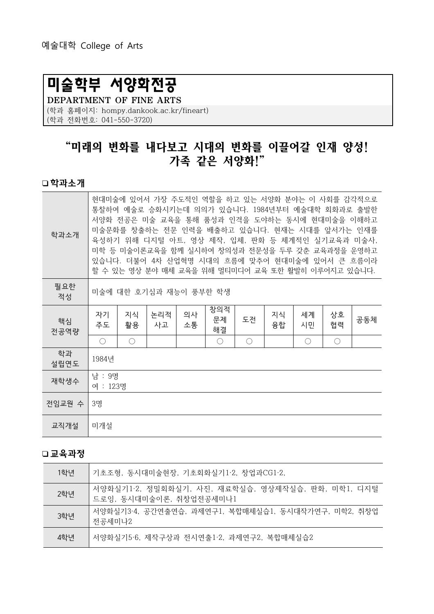# 미술학부 서양화전공

DEPARTMENT OF FINE ARTS (학과 홈페이지: hompy.dankook.ac.kr/fineart) (학과 전화번호: 041-550-3720)

# "미래의 변화를 내다보고 시대의 변화를 이끌어갈 인재 양성! 가족 같은 서양화!"

#### 학과소개

| 학과소개       | 현대미술에 있어서 가장 주도적인 역할을 하고 있는 서양화 분야는 이 사회를 감각적으로<br>통찰하여 예술로 승화시키는데 의의가 있습니다. 1984년부터 예술대학 회화과로 출발한<br>서양화 전공은 미술 교육을 통해 품성과 인격을 도야하는 동시에 현대미술을 이해하고<br>미술문화를 창출하는 전문 인력을 배출하고 있습니다. 현재는 시대를 앞서가는 인재를<br>육성하기 위해 디지털 아트, 영상 제작, 입체, 판화 등 체계적인 실기교육과 미술사,<br>미학 등 미술이론교육을 함께 실시하여 창의성과 전문성을 두루 갖춘 교육과정을 운영하고<br>있습니다. 더불어 4차 산업혁명 시대의 흐름에 맞추어 현대미술에 있어서 큰 흐름이라<br>할 수 있는 영상 분야 매체 교육을 위해 멀티미디어 교육 또한 활발히 이루어지고 있습니다. |                 |           |          |                 |                                             |          |                                             |                                             |     |
|------------|--------------------------------------------------------------------------------------------------------------------------------------------------------------------------------------------------------------------------------------------------------------------------------------------------------------------------------------------------------------------------------------------------------------------|-----------------|-----------|----------|-----------------|---------------------------------------------|----------|---------------------------------------------|---------------------------------------------|-----|
| 필요한<br>적성  | 미술에 대한 호기심과 재능이 풍부한 학생                                                                                                                                                                                                                                                                                                                                                                                             |                 |           |          |                 |                                             |          |                                             |                                             |     |
| 핵심<br>전공역량 | 자기<br>주도                                                                                                                                                                                                                                                                                                                                                                                                           | 지식<br>활용        | 논리적<br>사고 | 의사<br>소통 | 창의적<br>문제<br>해결 | 도전                                          | 지식<br>융합 | 세계<br>시민                                    | 상호<br>협력                                    | 공동체 |
|            | $\left(\right)$                                                                                                                                                                                                                                                                                                                                                                                                    | $\left(\right)$ |           |          | $\bigcirc$      | $\left(\begin{array}{c} \end{array}\right)$ |          | $\left(\begin{array}{c} \end{array}\right)$ | $\left(\begin{array}{c} \end{array}\right)$ |     |
| 학과<br>설립연도 | 1984년                                                                                                                                                                                                                                                                                                                                                                                                              |                 |           |          |                 |                                             |          |                                             |                                             |     |
| 재학생수       | 남 : 9명<br>여 : 123명                                                                                                                                                                                                                                                                                                                                                                                                 |                 |           |          |                 |                                             |          |                                             |                                             |     |
| 전임교원 수     | 3명                                                                                                                                                                                                                                                                                                                                                                                                                 |                 |           |          |                 |                                             |          |                                             |                                             |     |
| 교직개설       | 미개설                                                                                                                                                                                                                                                                                                                                                                                                                |                 |           |          |                 |                                             |          |                                             |                                             |     |

| 1학년 | 기초조형, 동시대미술현장, 기초회화실기1·2, 창업과CG1·2,                                          |
|-----|------------------------------------------------------------------------------|
| 2학년 | 서양화실기1·2, 정밀회화실기, 사진, 재료학실습, 영상제작실습, 판화, 미학1, 디지털<br>드로잉, 동시대미술이론, 취창업전공세미나1 |
| 3학년 | 서양화실기3·4, 공간연출연습, 과제연구1, 복합매체실습1, 동시대작가연구, 미학2, 취창업<br>전공세미나2                |
| 4학년 | 서양화실기5·6, 제작구상과 전시연출1·2, 과제연구2, 복합매체실습2                                      |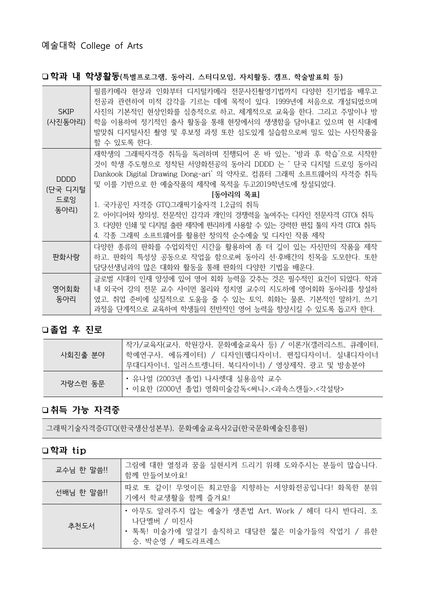### □학과 내 학생활동(특별프로그램, 동아리, 스터디모임, 자치활동, 캠프, 학술발표회 등)

| <b>SKIP</b><br>(사진동아리)                | 필름카메라 현상과 인화부터 디지털카메라 전문사진촬영기법까지 다양한 진기법을 배우고<br>전공과 관련하여 미적 감각을 기르는 데에 목적이 있다. 1999년에 처음으로 개설되었으며<br>사진의 기본적인 현상인화를 심층적으로 하고, 체계적으로 교육을 한다. 그리고 주말이나 방<br>학을 이용하여 정기적인 출사 활동을 통해 현장에서의 생생함을 담아내고 있으며 현 시대에<br>발맞춰 디지털사진 촬영 및 후보정 과정 또한 심도있게 실습함으로써 밀도 있는 사진작품을<br>할 수 있도록 한다.                                                                                                                                                              |
|---------------------------------------|---------------------------------------------------------------------------------------------------------------------------------------------------------------------------------------------------------------------------------------------------------------------------------------------------------------------------------------------------------------------------------------------------------------------------------------------|
| <b>DDDD</b><br>(단국 디지털<br>드로잉<br>동아리) | 재학생의 그래픽자격증 취득을 독려하며 진행되어 온 바 있는, '방과 후 학습'으로 시작한<br>것이 학생 주도형으로 정착된 서양화전공의 동아리 DDDD 는 ' 단국 디지털 드로잉 동아리<br>Dankook Digital Drawing Dong-ari' 의 약자로, 컴퓨터 그래픽 소프트웨어의 자격증 취득<br>및 이를 기반으로 한 예술작품의 제작에 목적을 두고2019학년도에 창설되었다.<br> 동아리의 목표 <br>1. 국가공인 자격증 GTQ그래픽기술자격 1,2급의 취득<br>2. 아이디어와 창의성, 전문적인 감각과 개인의 경쟁력을 높여주는 디자인 전문자격 GTOi 취득<br>3. 다양한 인쇄 및 디지털 출판 제작에 편리하게 사용할 수 있는 강력한 편집 툴의 자격 GTOi 취득<br>4. 각종 그래픽 소프트웨어를 활용한 창의적 순수예술 및 디자인 작품 제작 |
| 판화사랑                                  | 다양한 종류의 판화를 수업외적인 시간을 활용하여 좀 더 깊이 있는 자신만의 작품을 제작<br>하고, 판화의 특성상 공동으로 작업을 함으로써 동아리 선·후배간의 친목을 도모한다. 또한<br>담당선생님과의 많은 대화와 활동을 통해 판화의 다양한 기법을 배운다.                                                                                                                                                                                                                                                                                             |
| 영어회화<br>동아리                           | 글로벌 시대의 인재 양성에 있어 영어 회화 능력을 갖추는 것은 필수적인 요건이 되었다. 학과<br>내 외국어 강의 전문 교수 사이먼 몰리와 정치영 교수의 지도하에 영어회화 동아리를 창설하<br>였고, 취업 준비에 실질적으로 도움을 줄 수 있는 토익, 회화는 물론, 기본적인 말하기, 쓰기<br>과정을 단계적으로 교육하여 학생들의 전반적인 영어 능력을 향상시킬 수 있도록 돕고자 한다.                                                                                                                                                                                                                      |

### 졸업 후 진로

| 사회진출 분야! | , 작가/교육자(교사, 학원강사, 문화예술교육사 등) / 이론가(갤러리스트, 큐레이터,<br>학예연구사, 에듀케이터) / 디자인(웹디자이너, 편집디자이너, 실내디자이너<br>무대디자이너, 일러스트렝니터, 북디자이너) / 영상제작, 광고 및 방송분야 |
|----------|--------------------------------------------------------------------------------------------------------------------------------------------|
| 자랑스런 동문  | • 유나얼 (2003년 졸업) 나사렛대 실용음악 교수<br>• 이요한 (2000년 졸업) 영화미술감독<써니>,<과속스캔들>,<각설탕>                                                                 |

### 취득 가능 자격증

그래픽기술자격증GTQ(한국생산성본부), 문화예술교육사2급(한국문화예술진흥원)

| 교수님 한 말씀!! | 그림에 대한 열정과 꿈을 실현시켜 드리기 위해 도와주시는 분들이 많습니다.<br>함께 만들어보아요!                                                                      |
|------------|------------------------------------------------------------------------------------------------------------------------------|
| 선배님 한 말씀!! | 따로 또 같이! 무엇이든 최고만을 지향하는 서양화전공입니다! 화목한 분위<br>기에서 학교생활을 함께 즐겨요!                                                                |
| 추천도서       | • 아무도 알려주지 않는 예술가 생존법 Art, Work / 헤더 다시 반다리, 조<br>나단멜버 / 미진사<br>• 톡톡! 미술가에 말걸기 솔직하고 대담한 젊은 미술가들의 작업기 / 류한<br>승, 박순영 / 페도라프레스 |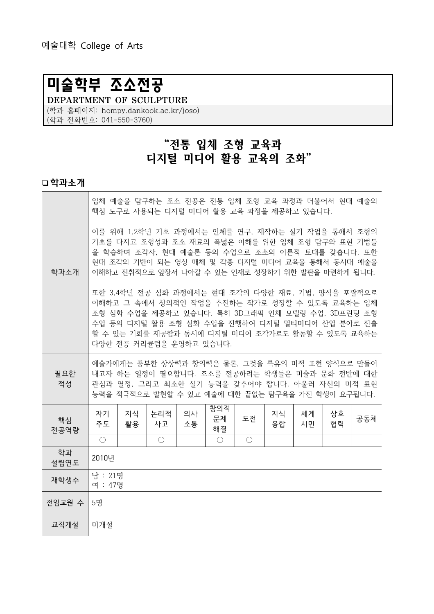# 미술학부 조소전공

DEPARTMENT OF SCULPTURE (학과 홈페이지: hompy.dankook.ac.kr/joso) (학과 전화번호: 041-550-3760)

# "전통 입체 조형 교육과 디지털 미디어 활용 교육의 조화"

#### 학과소개

|            |                                                                                                                                                                                                                                                                 |                         |            |          |                 |            |          | 입체 예술을 탐구하는 조소 전공은 전통 입체 조형 교육 과정과 더불어서 현대 예술의<br>핵심 도구로 사용되는 디지털 미디어 활용 교육 과정을 제공하고 있습니다.                                                                                                                                                                      |          |     |
|------------|-----------------------------------------------------------------------------------------------------------------------------------------------------------------------------------------------------------------------------------------------------------------|-------------------------|------------|----------|-----------------|------------|----------|-----------------------------------------------------------------------------------------------------------------------------------------------------------------------------------------------------------------------------------------------------------------|----------|-----|
| 학과소개       | 이를 위해 1,2학년 기초 과정에서는 인체를 연구, 제작하는 실기 작업을 통해서 조형의<br>기초를 다지고 조형성과 조소 재료의 폭넓은 이해를 위한 입체 조형 탐구와 표현 기법들<br>을 학습하며 조각사, 현대 예술론 등의 수업으로 조소의 이론적 토대를 갖춥니다. 또한<br>현대 조각의 기반이 되는 영상 매체 및 각종 디지털 미디어 교육을 통해서 동시대 예술을<br>이해하고 진취적으로 앞장서 나아갈 수 있는 인재로 성장하기 위한 발판을 마련하게 됩니다. |                         |            |          |                 |            |          |                                                                                                                                                                                                                                                                 |          |     |
|            |                                                                                                                                                                                                                                                                 | 다양한 전공 커리큘럼을 운영하고 있습니다. |            |          |                 |            |          | 또한 3,4학년 전공 심화 과정에서는 현대 조각의 다양한 재료, 기법, 양식을 포괄적으로<br>이해하고 그 속에서 창의적인 작업을 추진하는 작가로 성장할 수 있도록 교육하는 입체<br>조형 심화 수업을 제공하고 있습니다. 특히 3D그래픽 인체 모델링 수업, 3D프린팅 조형<br>수업 등의 디지털 활용 조형 심화 수업을 진행하여 디지털 멀티미디어 산업 분야로 진출<br>할 수 있는 기회를 제공함과 동시에 디지털 미디어 조각가로도 활동할 수 있도록 교육하는 |          |     |
| 필요한<br>적성  | 예술가에게는 풍부한 상상력과 창의력은 물론, 그것을 특유의 미적 표현 양식으로 만들어<br>내고자 하는 열정이 필요합니다. 조소를 전공하려는 학생들은 미술과 문화 전반에 대한<br>관심과 열정, 그리고 최소한 실기 능력을 갖추어야 합니다. 아울러 자신의 미적 표현<br>능력을 적극적으로 발현할 수 있고 예술에 대한 끝없는 탐구욕을 가진 학생이 요구됩니다.                                                         |                         |            |          |                 |            |          |                                                                                                                                                                                                                                                                 |          |     |
| 핵심<br>전공역량 | 자기<br>주도                                                                                                                                                                                                                                                        | 지식<br>활용                | 논리적<br>사고  | 의사<br>소통 | 창의적<br>문제<br>해결 | 도전         | 지식<br>융합 | 세계<br>시민                                                                                                                                                                                                                                                        | 상호<br>협력 | 공동체 |
|            | $\bigcirc$                                                                                                                                                                                                                                                      |                         | $\bigcirc$ |          | $\bigcirc$      | $\bigcirc$ |          |                                                                                                                                                                                                                                                                 |          |     |
| 학과<br>설립연도 | 2010년                                                                                                                                                                                                                                                           |                         |            |          |                 |            |          |                                                                                                                                                                                                                                                                 |          |     |
| 재학생수       | 남 : 21명<br>여 : 47명                                                                                                                                                                                                                                              |                         |            |          |                 |            |          |                                                                                                                                                                                                                                                                 |          |     |
| 전임교원 수     | 5명                                                                                                                                                                                                                                                              |                         |            |          |                 |            |          |                                                                                                                                                                                                                                                                 |          |     |
| 교직개설       | 미개설                                                                                                                                                                                                                                                             |                         |            |          |                 |            |          |                                                                                                                                                                                                                                                                 |          |     |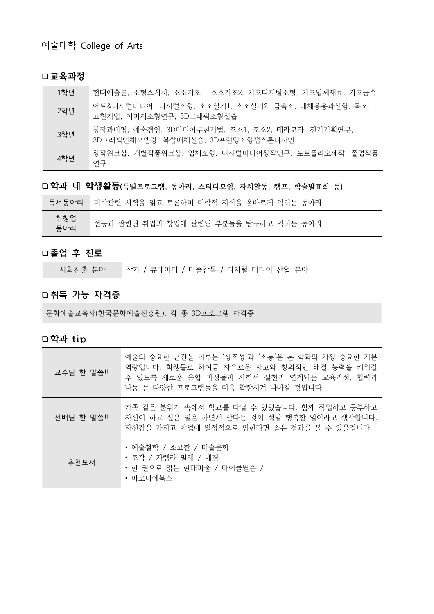#### 교육과정

| 1학년 | 현대예술론, 조형스케치, 조소기초1, 조소기초2, 기초디지털조형, 기초입체재료, 기초금속                                    |
|-----|--------------------------------------------------------------------------------------|
| 2학년 | 아트&디지털미디어, 디지털조형, 소조실기1, 소조실기2, 금속조, 매체응용과실험, 목조,<br>표현기법, 이미지조형연구, 3D그래픽조형실습        |
| 3학년 | 창작과비평, 예술경영, 3D미디어구현기법, 조소1, 조소2, 테라코타, 전기기획연구,<br>3D그래픽인체모델링, 복합매체실습, 3D프린팅조형캡스톤디자인 |
| 4학년 | 창작워크샵, 개별작품워크샵, 입체조형, 디지털미디어창작연구, 포트폴리오제작, 졸업작품<br>연구                                |

□학과 내 학생활동(특별프로그램, 동아리, 스터디모임, 자치활동, 캠프, 학술발표회 등)

|            | 독서동아리  미학관련 서적을 읽고 토론하며 미학적 지식을 올바르게 익히는 동아리 |
|------------|----------------------------------------------|
| 취창업<br>동아리 | 전공과 관련된 취업과 창업에 관련된 부분들을 탐구하고 익히는 동아리        |

## 졸업 후 진로

| 작가 / 큐레이터 / 미술감독 / 디지털 미디어 산업 분야<br>Ⅰ사회진출 분야│ |  |
|-----------------------------------------------|--|
|-----------------------------------------------|--|

### 취득 가능 자격증

문화예술교육사(한국문화예술진흥원), 각 종 3D프로그램 자격증

| 교수님 한 말씀!! | 예술의 중요한 근간을 이루는 '창조성'과 '소통'은 본 학과의 가장 중요한 기본<br>역량입니다. 학생들로 하여금 자유로운 사고와 창의적인 해결 능력을 키워갈<br>수 있도록 새로운 융합 과정들과 사회적 실천과 연계되는 교육과정, 협력과<br>나눔 등 다양한 프로그램들을 더욱 확장시켜 나아갈 것입니다. |
|------------|---------------------------------------------------------------------------------------------------------------------------------------------------------------------------|
| 선배님 한 말씀!! | 가족 같은 분위기 속에서 학교를 다닐 수 있었습니다. 함께 작업하고 공부하고<br>자신이 하고 싶은 일을 하면서 산다는 것이 정말 행복한 일이라고 생각합니다.<br>자신감을 가지고 학업에 열정적으로 임한다면 좋은 결과를 볼 수 있을겁니다.                                     |
| 추천도서       | • 예술철학 / 조요한 / 미술문화<br>• 조각 / 카렉라 밀레 / 예경<br>• 한 권으로 읽는 현대미술 / 마이클윌슨 /<br>• 마로니에북스                                                                                        |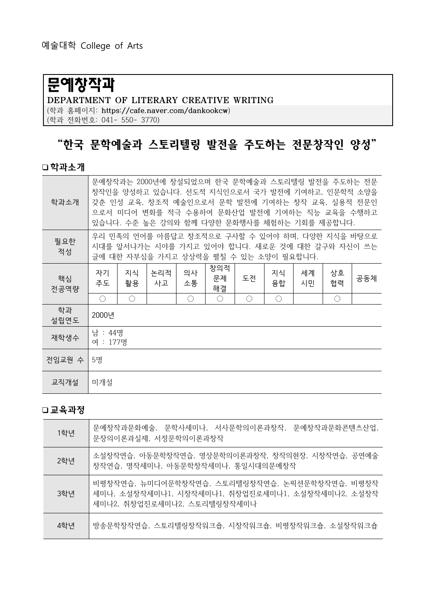# 문예창작과

DEPARTMENT OF LITERARY CREATIVE WRITING (학과 홈페이지: https://cafe.naver.com/dankookcw)

(학과 전화번호: 041- 550- 3770)

# "한국 문학예술과 스토리텔링 발전을 주도하는 전문창작인 양성"

### 학과소개

| 학과소개       | 문예창작과는 2000년에 창설되었으며 한국 문학예술과 스토리텔링 발전을 주도하는 전문<br>창작인을 양성하고 있습니다. 선도적 지식인으로서 국가 발전에 기여하고, 인문학적 소양을<br>갖춘 인성 교육, 창조적 예술인으로서 문학 발전에 기여하는 창작 교육, 실용적 전문인<br>으로서 미디어 변화를 적극 수용하여 문화산업 발전에 기여하는 직능 교육을 수행하고<br>있습니다. 수준 높은 강의와 함께 다양한 문화행사를 체험하는 기회를 제공합니다. |                                                                                                                                               |           |          |                 |    |            |          |            |     |
|------------|---------------------------------------------------------------------------------------------------------------------------------------------------------------------------------------------------------------------------------------------------------|-----------------------------------------------------------------------------------------------------------------------------------------------|-----------|----------|-----------------|----|------------|----------|------------|-----|
| 필요한<br>적성  |                                                                                                                                                                                                                                                         | 우리 민족의 언어를 아름답고 창조적으로 구사할 수 있어야 하며, 다양한 지식을 바탕으로<br>시대를 앞서나가는 시야를 가지고 있어야 합니다. 새로운 것에 대한 갈구와 자신이 쓰는<br>글에 대한 자부심을 가지고 상상력을 펼칠 수 있는 소양이 필요합니다. |           |          |                 |    |            |          |            |     |
| 핵심<br>전공역량 | 자기<br>주도                                                                                                                                                                                                                                                | 지식<br>활용                                                                                                                                      | 논리적<br>사고 | 의사<br>소통 | 창의적<br>문제<br>해결 | 도전 | 지식<br>융합   | 세계<br>시민 | 상호<br>협력   | 공동체 |
|            | $\bigcirc$                                                                                                                                                                                                                                              | $\bigcirc$                                                                                                                                    |           | ◯        | $\bigcirc$      | ◯  | $\bigcirc$ |          | $\bigcirc$ |     |
| 학과<br>설립연도 | 2000년                                                                                                                                                                                                                                                   |                                                                                                                                               |           |          |                 |    |            |          |            |     |
| 재학생수       | 남 : 44명<br>여 : 177명                                                                                                                                                                                                                                     |                                                                                                                                               |           |          |                 |    |            |          |            |     |
| 전임교원 수     | 5명                                                                                                                                                                                                                                                      |                                                                                                                                               |           |          |                 |    |            |          |            |     |
| 교직개설       | 미개설                                                                                                                                                                                                                                                     |                                                                                                                                               |           |          |                 |    |            |          |            |     |

| 1학년 | '문예창작과문화예술, 문학사세미나, 서사문학의이론과창작, 문예창작과문화콘텐츠산업,<br>문장의이론과실제, 서정문학의이론과창작                                                              |
|-----|------------------------------------------------------------------------------------------------------------------------------------|
| 2학년 | 소설창작연습, 아동문학창작연습, 영상문학의이론과창작, 창작의현장, 시창작연습, 공연예술<br>창작연습, 명작세미나, 아동문학창작세미나, 통일시대의문예창작                                              |
| 3학년 | 비평창작연습, 뉴미디어무학창작연습, 스토리텔링창작연습, 논픽션문학창작연습, 비평창작<br>세미나, 소설창작세미나1, 시창작세미나1, 취창업진로세미나1, 소설창작세미나2, 소설창작<br>세미나2, 취창업진로세미나2, 스토리텔링창작세미나 |
| 4학년 | 방송문학창작연습, 스토리텔링창작임크숍, 시창작임크숍, 비평창작임크숍, 소설창작임크숍                                                                                     |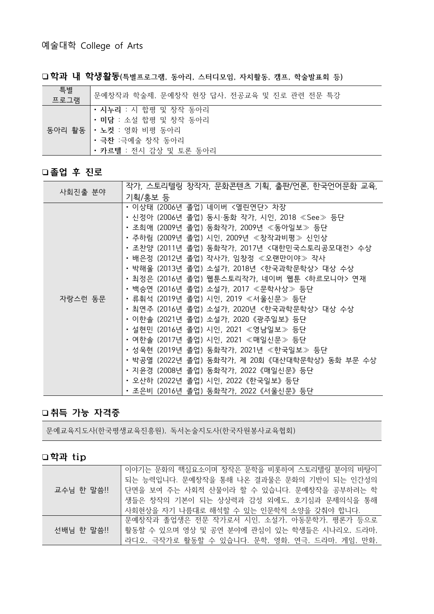□학과 내 학생활동(특별프로그램, 동아리, 스터디모임, 자치활동, 캠프, 학술발표회 등)

| 특별<br>프로그램 | 문예창작과 학술제, 문예창작 현장 답사, 전공교육 및 진로 관련 전문 특강                                                                                 |
|------------|---------------------------------------------------------------------------------------------------------------------------|
|            | • 시누리 : 시 합평 및 창작 동아리<br>• 미담 : 소설 합평 및 창작 동아리<br>동아리 활동   • 노컷 : 영화 비평 동아리<br>• 극찬 :극예술 창작 동아리<br>• 카르텔 : 전시 감상 및 토론 동아리 |

### 졸업 후 진로

|         | 작가, 스토리텔링 창작자, 문화콘텐츠 기획, 출판/언론, 한국언어문화 교육,      |
|---------|-------------------------------------------------|
| 사회진출 분야 | 기획/홍보 등                                         |
|         | ・이상태 (2006년 졸업) 네이버 <열린연단> 차장                   |
|         | ㆍ신정아 (2006년 졸업) 동시·동화 작가, 시인, 2018 ≪See≫ 등단     |
|         | ・조희애 (2009년 졸업) 동화작가, 2009년 ≪동아일보≫ 등단           |
|         | ・주하림 (2009년 졸업) 시인, 2009년 ≪창작과비평≫ 신인상           |
|         | • 조찬양 (2011년 졸업) 동화작가, 2017년 <대한민국스토리공모대전> 수상   |
|         | ㆍ배은정 (2012년 졸업) 작사가, 임창정 ≪오랜만이야≫ 작사             |
|         | • 박해울 (2013년 졸업) 소설가, 2018년 <한국과학문학상> 대상 수상     |
|         | • 최정은 (2016년 졸업) 웹툰스토리작가, 네이버 웹툰 <하르모니아> 연재     |
|         | ㆍ백승연 (2016년 졸업) 소설가, 2017 ≪문학사상≫ 등단             |
| 자랑스런 동문 | ㆍ류휘석 (2019년 졸업) 시인, 2019 ≪서울신문≫ 등단              |
|         | • 최연주 (2016년 졸업) 소설가, 2020년 <한국과학문학상> 대상 수상     |
|         | ・이한솔 (2021년 졸업) 소설가, 2020《광주일보》등단               |
|         | ㆍ설현민 (2016년 졸업) 시인, 2021 ≪영남일보≫ 등단              |
|         | ㆍ여한솔 (2017년 졸업) 시인, 2021 ≪매일신문≫ 등단              |
|         | ・성욱현 (2019년 졸업) 동화작가, 2021년 ≪한국일보≫ 등단           |
|         | • 박공열 (2022년 졸업) 동화작가, 제 20회 《대산대학문학상》 동화 부문 수상 |
|         | ・지윤경 (2008년 졸업) 동화작가, 2022《매일신문》등단              |
|         | • 오산하 (2022년 졸업) 시인, 2022《한국일보》등단               |
|         | ・조은비 (2016년 졸업) 동화작가, 2022《서울신문》등단              |

### 취득 가능 자격증

문예교육지도사(한국평생교육진흥원), 독서논술지도사(한국자원봉사교육협회)

|            | 이야기는 문화의 핵심요소이며 창작은 문학을 비롯하여 스토리텔링 분야의 바탕이     |
|------------|------------------------------------------------|
|            | 되는 능력입니다. 문예창작을 통해 나온 결과물은 문화의 기반이 되는 인간성의     |
| 교수님 한 말씀!! | 단면을 보여 주는 사회적 산물이라 할 수 있습니다. 문예창작을 공부하려는 학     |
|            | 생들은 창작의 기본이 되는 상상력과 감성 외에도, 호기심과 문제의식을 통해      |
|            | 사회현상을 자기 나름대로 해석할 수 있는 인문학적 소양을 갖춰야 합니다.       |
|            | 문예창작과 졸업생은 전문 작가로서 시인, 소설가, 아동문학가, 평론가 등으로     |
| 선배님 한 말씀!! | 활동할 수 있으며 영상 및 공연 분야에 관심이 있는 학생들은 시나리오, 드라마,   |
|            | 라디오, 극작가로 활동할 수 있습니다. 문학, 영화, 연극, 드라마, 게임, 만화, |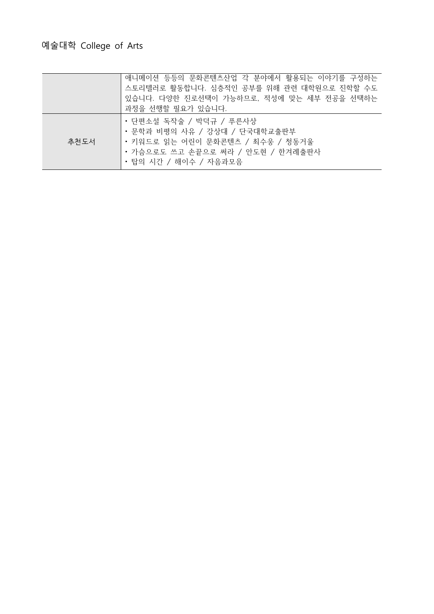|      | 애니메이션 등등의 문화콘텐츠산업 각 분야에서 활용되는 이야기를 구성하는<br>스토리텔러로 활동합니다. 심층적인 공부를 위해 관련 대학원으로 진학할 수도<br>있습니다. 다양한 진로선택이 가능하므로, 적성에 맞는 세부 전공을 선택하는<br>과정을 선행할 필요가 있습니다.     |
|------|------------------------------------------------------------------------------------------------------------------------------------------------------------|
| 추천도서 | • 단편소설 독작술 / 박덕규 / 푸른사상<br>• 문학과 비평의 사유 / 강상대 / 단국대학교출판부<br>• 키워드로 읽는 어린이 문화콘텐츠 / 최수웅 / 청동거울<br>• 가슴으로도 쓰고 손끝으로 써라 / 안도현 / 한겨례출판사<br>• 탑의 시간 / 해이수 / 자음과모음 |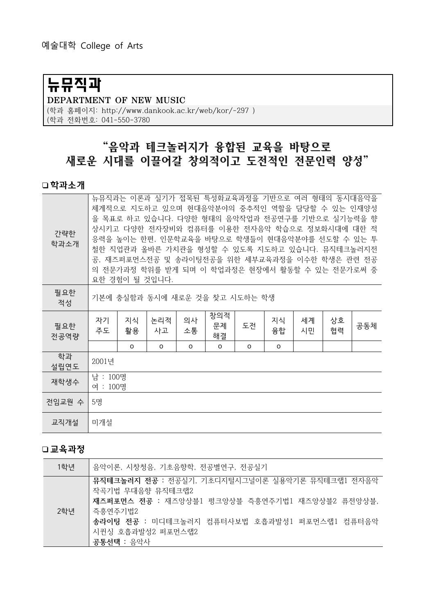# 뉴뮤직과

#### DEPARTMENT OF NEW MUSIC

(학과 홈페이지: http://www.dankook.ac.kr/web/kor/-297) (학과 전화번호: 041-550-3780

# "음악과 테크놀러지가 융합된 교육을 바탕으로 새로운 시대를 이끌어갈 창의적이고 도전적인 전문인력 양성"

#### 학과소개

| 간략한<br>학과소개 | 뉴뮤직과는 이론과 실기가 접목된 특성화교육과정을 기반으로 여러 형태의 동시대음악을<br>체계적으로 지도하고 있으며 현대음악분야의 중추적인 역할을 담당할 수 있는 인재양성<br>을 목표로 하고 있습니다. 다양한 형태의 음악작업과 전공연구를 기반으로 실기능력을 향<br>상시키고 다양한 전자장비와 컴퓨터를 이용한 전자음악 학습으로 정보화시대에 대한 적<br>응력을 높이는 한편, 인문학교육을 바탕으로 학생들이 현대음악분야를 선도할 수 있는 투<br>철한 직업관과 올바른 가치관을 형성할 수 있도록 지도하고 있습니다. 뮤직테크놀러지전<br>공, 재즈퍼포먼스전공 및 송라이팅전공을 위한 세부교육과정을 이수한 학생은 관련 전공<br>의 전문가과정 학위를 받게 되며 이 학업과정은 현장에서 활동할 수 있는 전문가로써 중<br>요한 경험이 될 것입니다. |          |           |          |                 |    |          |          |          |     |
|-------------|--------------------------------------------------------------------------------------------------------------------------------------------------------------------------------------------------------------------------------------------------------------------------------------------------------------------------------------------------------------------------------------------------------------------------------|----------|-----------|----------|-----------------|----|----------|----------|----------|-----|
| 필요한<br>적성   | 기본에 충실함과 동시에 새로운 것을 찾고 시도하는 학생                                                                                                                                                                                                                                                                                                                                                                                                 |          |           |          |                 |    |          |          |          |     |
| 필요한<br>전공역량 | 자기<br>주도                                                                                                                                                                                                                                                                                                                                                                                                                       | 지식<br>활용 | 논리적<br>사고 | 의사<br>소통 | 창의적<br>문제<br>해결 | 도전 | 지식<br>융합 | 세계<br>시민 | 상호<br>협력 | 공동체 |
|             |                                                                                                                                                                                                                                                                                                                                                                                                                                | 0        | O         | 0        | O               | 0  | O        |          |          |     |
| 학과<br>설립연도  | 2001년                                                                                                                                                                                                                                                                                                                                                                                                                          |          |           |          |                 |    |          |          |          |     |
| 재학생수        | 남 : 100명<br>여 : 100명                                                                                                                                                                                                                                                                                                                                                                                                           |          |           |          |                 |    |          |          |          |     |
| 전임교원 수      | 5명                                                                                                                                                                                                                                                                                                                                                                                                                             |          |           |          |                 |    |          |          |          |     |
| 교직개설        | 미개설                                                                                                                                                                                                                                                                                                                                                                                                                            |          |           |          |                 |    |          |          |          |     |

| 1학년 | └ 음악이론, 시창청음, 기초음향학, 전공별연구, 전공실기                                                                                                                                                                                      |
|-----|-----------------------------------------------------------------------------------------------------------------------------------------------------------------------------------------------------------------------|
| 2학년 | 뮤직테크놀러지 전공 : 전공실기, 기초디지털시그널이론 실용악기론 뮤직테크랩1 전자음악<br>작곡기법 무대음향 뮤직테크랩2<br>재즈퍼포먼스 전공 : 재즈앙상블1 펑크앙상블 즉흥연주기법1 재즈앙상블2 퓨전앙상블,<br>  즉흥연주기법2<br>송라이팅 전공 : 미디테크놀러지 컴퓨터사보법 호흡과발성1 퍼포먼스랩1 컴퓨터음악<br>시퀸싱 호흡과발성2 퍼포먼스랩2<br>공통선택 : 음악사 |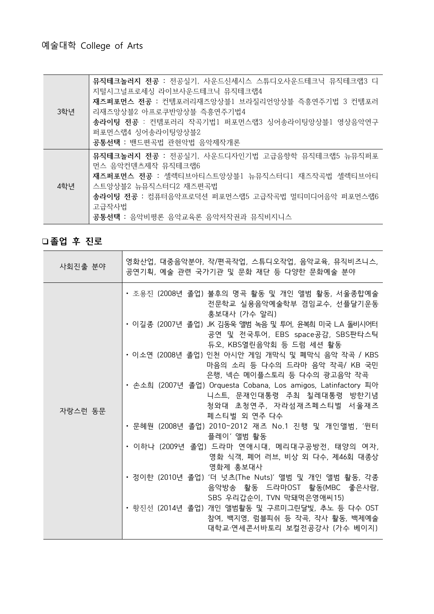|     | 뮤직테크놀러지 전공 : 전공실기, 사운드신세시스 스튜디오사운드테크닉 뮤직테크랩3 디<br>지털시그널프로세싱 라이브사운드테크닉 뮤직테크랩4 |
|-----|------------------------------------------------------------------------------|
|     | 재즈퍼포먼스 전공 : 컨템포러리재즈앙상블1 브라질리언앙상블 즉흥연주기법 3 컨템포러                               |
| 3학년 | 리재즈앙상블2 아프로쿠반앙상블 즉흥연주기법4                                                     |
|     | 송라이팅 전공 : 컨템포러리 작곡기법1 퍼포먼스랩3 싱어송라이팅앙상블1 영상음악연구                               |
|     | 퍼포먼스랩4 싱어송라이팅앙상블2                                                            |
|     | 공통선택 : 밴드편곡법 관현악법 음악제작개론                                                     |
|     | 뮤직테크놀러지 전공 : 전공실기, 사운드디자인기법 고급음향학 뮤직테크랩5 뉴뮤직퍼포                               |
|     | 먼스 음악컨덴츠제작 뮤직테크랩6                                                            |
| 4학년 | 재즈퍼포먼스 전공 : 셀렉티브아티스트앙상블1 뉴뮤직스터디1 재즈작곡법 셀렉티브아티                                |
|     | 스트앙상블2 뉴뮤직스터디2 재즈편곡법                                                         |
|     | 송라이팅 전공 : 컴퓨터음악프로덕션 퍼포먼스랩5 고급작곡법 멀티미디어음악 퍼포먼스랩6                              |
|     | 고급작사법                                                                        |
|     | 공통선택 : 음악비평론 음악교육론 음악저작권과 뮤직비지니스                                             |

## 졸업 후 진로

| 사회진출 분야 | 영화산업, 대중음악분야, 작/편곡작업, 스튜디오작업, 음악교육, 뮤직비즈니스,<br>공연기획, 예술 관련 국가기관 및 문화 재단 등 다양한 문화예술 분야                              |
|---------|--------------------------------------------------------------------------------------------------------------------|
|         | • 조용진 (2008년 졸업) 불후의 명곡 활동 및 개인 앨범 활동, 서울종합예술<br>전문학교 실용음악예술학부 겸임교수, 선플달기운동<br>홍보대사 (가수 알리)                        |
|         | • 이길종 (2007년 졸업) JK 김동욱 앨범 녹음 및 투어, 윤복희 미국 L.A 돌비시어터<br>공연 및 전국투어, EBS space공감, SBS판타스틱<br>듀오, KBS열린음악회 등 드럼 세션 활동 |
|         | ㆍ이소연 (2008년 졸업) 인천 아시안 게임 개막식 및 폐막식 음악 작곡 / KBS<br>마음의 소리 등 다수의 드라마 음악 작곡/ KB 국민<br>은행, 넥슨 메이플스토리 등 다수의 광고음악 작곡    |
|         | • 손소희 (2007년 졸업) Orquesta Cobana, Los amigos, Latinfactory 피아<br>니스트, 문재인대통령 주최 칠레대통령 방한기념                         |
| 자랑스런 동문 | 청와대 초청연주, 자라섬재즈페스티벌 서울재즈<br>페스티벌 외 연주 다수                                                                           |
|         | • 문혜원 (2008년 졸업) 2010~2012 재즈 No.1 진행 및 개인앨범, '윈터<br>플레이' 앨범 활동                                                    |
|         | • 이하나 (2009년 졸업) 드라마 연애시대, 메리대구공방전, 태양의 여자,<br>영화 식객, 페어 러브, 비상 외 다수, 제46회 대종상<br>영화제 홍보대사                         |
|         | • 정이한 (2010년 졸업) '더 넛츠(The Nuts)' 앨범 및 개인 앨범 활동, 각종<br>음악방송 활동 드라마OST 활동(MBC 좋은사람,<br>SBS 우리갑순이, TVN 막돼먹은영애씨15)    |
|         | ㆍ 황진선 (2014년 졸업) 개인 앨범활동 및 구르미그린달빛, 추노 등 다수 OST<br>참여, 백지영, 럼블피쉬 등 작곡, 작사 활동, 백제예술<br>대학교·연세콘서바토리 보컬전공강사 (가수 베이지)  |